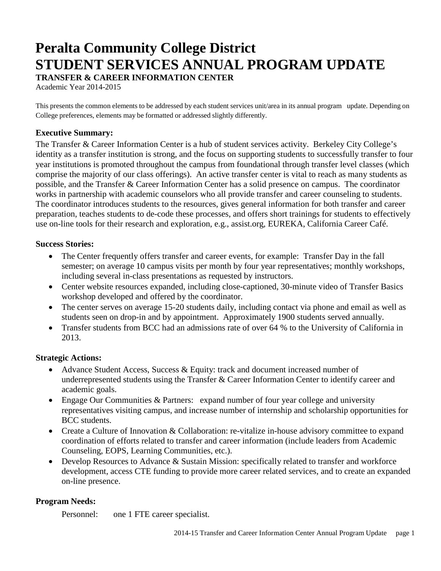# **Peralta Community College District STUDENT SERVICES ANNUAL PROGRAM UPDATE TRANSFER & CAREER INFORMATION CENTER**

Academic Year 2014-2015

This presents the common elements to be addressed by each student services unit/area in its annual program update. Depending on College preferences, elements may be formatted or addressed slightly differently.

## **Executive Summary:**

The Transfer & Career Information Center is a hub of student services activity. Berkeley City College's identity as a transfer institution is strong, and the focus on supporting students to successfully transfer to four year institutions is promoted throughout the campus from foundational through transfer level classes (which comprise the majority of our class offerings). An active transfer center is vital to reach as many students as possible, and the Transfer & Career Information Center has a solid presence on campus. The coordinator works in partnership with academic counselors who all provide transfer and career counseling to students. The coordinator introduces students to the resources, gives general information for both transfer and career preparation, teaches students to de-code these processes, and offers short trainings for students to effectively use on-line tools for their research and exploration, e.g., assist.org, EUREKA, California Career Café.

#### **Success Stories:**

- The Center frequently offers transfer and career events, for example: Transfer Day in the fall semester; on average 10 campus visits per month by four year representatives; monthly workshops, including several in-class presentations as requested by instructors.
- Center website resources expanded, including close-captioned, 30-minute video of Transfer Basics workshop developed and offered by the coordinator.
- The center serves on average 15-20 students daily, including contact via phone and email as well as students seen on drop-in and by appointment. Approximately 1900 students served annually.
- Transfer students from BCC had an admissions rate of over 64 % to the University of California in 2013.

#### **Strategic Actions:**

- Advance Student Access, Success & Equity: track and document increased number of underrepresented students using the Transfer & Career Information Center to identify career and academic goals.
- Engage Our Communities & Partners: expand number of four year college and university representatives visiting campus, and increase number of internship and scholarship opportunities for BCC students.
- Create a Culture of Innovation & Collaboration: re-vitalize in-house advisory committee to expand coordination of efforts related to transfer and career information (include leaders from Academic Counseling, EOPS, Learning Communities, etc.).
- Develop Resources to Advance & Sustain Mission: specifically related to transfer and workforce development, access CTE funding to provide more career related services, and to create an expanded on-line presence.

# **Program Needs:**

Personnel: one 1 FTE career specialist.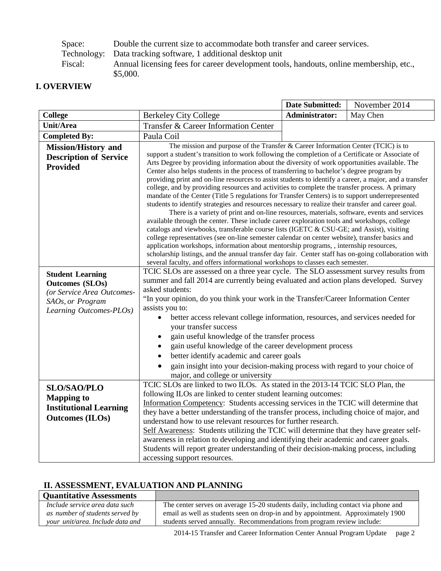Space: Double the current size to accommodate both transfer and career services.<br>Technology: Data tracking software, 1 additional desktop unit

Data tracking software, 1 additional desktop unit

Fiscal: Annual licensing fees for career development tools, handouts, online membership, etc., \$5,000.

## **I. OVERVIEW**

|                                                                                                                                |                                                                                                                                                                                                                                                                                                                                                                                                                                                                                                                                                                                                                                                                                                                                                                                                                                                                                                                                                                                                                                                                                                                                                                                                                                                                                                                                                                                                                                                                                       | <b>Date Submitted:</b> | November 2014 |
|--------------------------------------------------------------------------------------------------------------------------------|---------------------------------------------------------------------------------------------------------------------------------------------------------------------------------------------------------------------------------------------------------------------------------------------------------------------------------------------------------------------------------------------------------------------------------------------------------------------------------------------------------------------------------------------------------------------------------------------------------------------------------------------------------------------------------------------------------------------------------------------------------------------------------------------------------------------------------------------------------------------------------------------------------------------------------------------------------------------------------------------------------------------------------------------------------------------------------------------------------------------------------------------------------------------------------------------------------------------------------------------------------------------------------------------------------------------------------------------------------------------------------------------------------------------------------------------------------------------------------------|------------------------|---------------|
| <b>College</b>                                                                                                                 | <b>Berkeley City College</b>                                                                                                                                                                                                                                                                                                                                                                                                                                                                                                                                                                                                                                                                                                                                                                                                                                                                                                                                                                                                                                                                                                                                                                                                                                                                                                                                                                                                                                                          | <b>Administrator:</b>  | May Chen      |
| Unit/Area                                                                                                                      | Transfer & Career Information Center                                                                                                                                                                                                                                                                                                                                                                                                                                                                                                                                                                                                                                                                                                                                                                                                                                                                                                                                                                                                                                                                                                                                                                                                                                                                                                                                                                                                                                                  |                        |               |
| <b>Completed By:</b>                                                                                                           | Paula Coil                                                                                                                                                                                                                                                                                                                                                                                                                                                                                                                                                                                                                                                                                                                                                                                                                                                                                                                                                                                                                                                                                                                                                                                                                                                                                                                                                                                                                                                                            |                        |               |
| <b>Mission/History and</b><br><b>Description of Service</b><br><b>Provided</b>                                                 | The mission and purpose of the Transfer & Career Information Center (TCIC) is to<br>support a student's transition to work following the completion of a Certificate or Associate of<br>Arts Degree by providing information about the diversity of work opportunities available. The<br>Center also helps students in the process of transferring to bachelor's degree program by<br>providing print and on-line resources to assist students to identify a career, a major, and a transfer<br>college, and by providing resources and activities to complete the transfer process. A primary<br>mandate of the Center (Title 5 regulations for Transfer Centers) is to support underrepresented<br>students to identify strategies and resources necessary to realize their transfer and career goal.<br>There is a variety of print and on-line resources, materials, software, events and services<br>available through the center. These include career exploration tools and workshops, college<br>catalogs and viewbooks, transferable course lists (IGETC & CSU-GE; and Assist), visiting<br>college representatives (see on-line semester calendar on center website), transfer basics and<br>application workshops, information about mentorship programs, , internship resources,<br>scholarship listings, and the annual transfer day fair. Center staff has on-going collaboration with<br>several faculty, and offers informational workshops to classes each semester. |                        |               |
| <b>Student Learning</b><br><b>Outcomes (SLOs)</b><br>(or Service Area Outcomes-<br>SAOs, or Program<br>Learning Outcomes-PLOs) | TCIC SLOs are assessed on a three year cycle. The SLO assessment survey results from<br>summer and fall 2014 are currently being evaluated and action plans developed. Survey<br>asked students:<br>"In your opinion, do you think your work in the Transfer/Career Information Center<br>assists you to:<br>better access relevant college information, resources, and services needed for<br>$\bullet$<br>your transfer success<br>gain useful knowledge of the transfer process<br>gain useful knowledge of the career development process<br>better identify academic and career goals<br>gain insight into your decision-making process with regard to your choice of<br>major, and college or university                                                                                                                                                                                                                                                                                                                                                                                                                                                                                                                                                                                                                                                                                                                                                                        |                        |               |
| <b>SLO/SAO/PLO</b><br><b>Mapping to</b><br><b>Institutional Learning</b><br><b>Outcomes (ILOs)</b>                             | TCIC SLOs are linked to two ILOs. As stated in the 2013-14 TCIC SLO Plan, the<br>following ILOs are linked to center student learning outcomes:<br>Information Competency: Students accessing services in the TCIC will determine that<br>they have a better understanding of the transfer process, including choice of major, and<br>understand how to use relevant resources for further research.<br>Self Awareness: Students utilizing the TCIC will determine that they have greater self-<br>awareness in relation to developing and identifying their academic and career goals.<br>Students will report greater understanding of their decision-making process, including<br>accessing support resources.                                                                                                                                                                                                                                                                                                                                                                                                                                                                                                                                                                                                                                                                                                                                                                     |                        |               |

# **II. ASSESSMENT, EVALUATION AND PLANNING**

| <b>Quantitative Assessments</b>  |                                                                                    |
|----------------------------------|------------------------------------------------------------------------------------|
| Include service area data such   | The center serves on average 15-20 students daily, including contact via phone and |
| as number of students served by  | email as well as students seen on drop-in and by appointment. Approximately 1900   |
| your unit/area. Include data and | students served annually. Recommendations from program review include:             |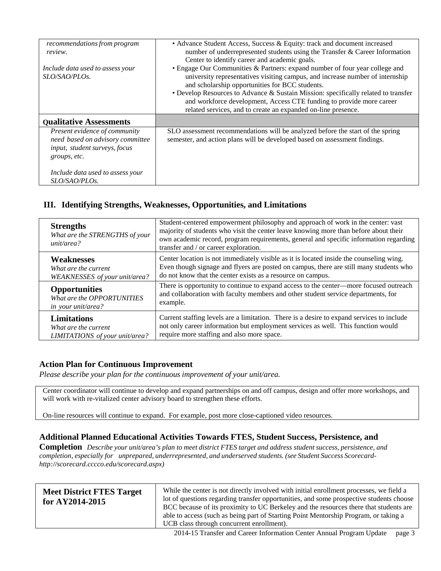| recommendations from program<br>review.                                                                            | • Advance Student Access, Success & Equity: track and document increased<br>number of underrepresented students using the Transfer & Career Information<br>Center to identify career and academic goals.                                                                                                                                                                                                                                       |
|--------------------------------------------------------------------------------------------------------------------|------------------------------------------------------------------------------------------------------------------------------------------------------------------------------------------------------------------------------------------------------------------------------------------------------------------------------------------------------------------------------------------------------------------------------------------------|
| Include data used to assess your<br>SLO/SAO/PLOs.                                                                  | • Engage Our Communities & Partners: expand number of four year college and<br>university representatives visiting campus, and increase number of internship<br>and scholarship opportunities for BCC students.<br>• Develop Resources to Advance & Sustain Mission: specifically related to transfer<br>and workforce development, Access CTE funding to provide more career<br>related services, and to create an expanded on-line presence. |
| <b>Qualitative Assessments</b>                                                                                     |                                                                                                                                                                                                                                                                                                                                                                                                                                                |
| Present evidence of community<br>need based on advisory committee<br>input, student surveys, focus<br>groups, etc. | SLO assessment recommendations will be analyzed before the start of the spring<br>semester, and action plans will be developed based on assessment findings.                                                                                                                                                                                                                                                                                   |
| Include data used to assess your<br>SLO/SAO/PLOs.                                                                  |                                                                                                                                                                                                                                                                                                                                                                                                                                                |

# **III. Identifying Strengths, Weaknesses, Opportunities, and Limitations**

| <b>Strengths</b><br>What are the STRENGTHS of your<br>unit/area? | Student-centered empowerment philosophy and approach of work in the center: vast<br>majority of students who visit the center leave knowing more than before about their<br>own academic record, program requirements, general and specific information regarding<br>transfer and / or career exploration. |
|------------------------------------------------------------------|------------------------------------------------------------------------------------------------------------------------------------------------------------------------------------------------------------------------------------------------------------------------------------------------------------|
| <b>Weaknesses</b>                                                | Center location is not immediately visible as it is located inside the counseling wing.                                                                                                                                                                                                                    |
| What are the current                                             | Even though signage and flyers are posted on campus, there are still many students who                                                                                                                                                                                                                     |
| WEAKNESSES of your unit/area?                                    | do not know that the center exists as a resource on campus.                                                                                                                                                                                                                                                |
| <b>Opportunities</b>                                             | There is opportunity to continue to expand access to the center—more focused outreach                                                                                                                                                                                                                      |
| What are the OPPORTUNITIES                                       | and collaboration with faculty members and other student service departments, for                                                                                                                                                                                                                          |
| <i>in your unit/area?</i>                                        | example.                                                                                                                                                                                                                                                                                                   |
| <b>Limitations</b>                                               | Current staffing levels are a limitation. There is a desire to expand services to include                                                                                                                                                                                                                  |
| What are the current                                             | not only career information but employment services as well. This function would                                                                                                                                                                                                                           |
| LIMITATIONS of your unit/area?                                   | require more staffing and also more space.                                                                                                                                                                                                                                                                 |

#### **Action Plan for Continuous Improvement**

*Please describe your plan for the continuous improvement of your unit/area.*

Center coordinator will continue to develop and expand partnerships on and off campus, design and offer more workshops, and will work with re-vitalized center advisory board to strengthen these efforts.

On-line resources will continue to expand. For example, post more close-captioned video resources.

#### **Additional Planned Educational Activities Towards FTES, Student Success, Persistence, and**

**Completion** Describe your unit/area's plan to meet district FTES target and address student success, persistence, and *completion, especially for unprepared, underrepresented, and underserved students. (see Student Success Scorecard[http://scorecard.cccco.edu/scorecard.aspx\)](http://scorecard.cccco.edu/scorecard.aspx))*

| <b>Meet District FTES Target</b><br>for $AY2014-2015$ | While the center is not directly involved with initial enrollment processes, we field a<br>lot of questions regarding transfer opportunities, and some prospective students choose<br>BCC because of its proximity to UC Berkeley and the resources there that students are<br>able to access (such as being part of Starting Point Mentorship Program, or taking a<br>UCB class through concurrent enrollment). |
|-------------------------------------------------------|------------------------------------------------------------------------------------------------------------------------------------------------------------------------------------------------------------------------------------------------------------------------------------------------------------------------------------------------------------------------------------------------------------------|
|-------------------------------------------------------|------------------------------------------------------------------------------------------------------------------------------------------------------------------------------------------------------------------------------------------------------------------------------------------------------------------------------------------------------------------------------------------------------------------|

2014-15 Transfer and Career Information Center Annual Program Update page 3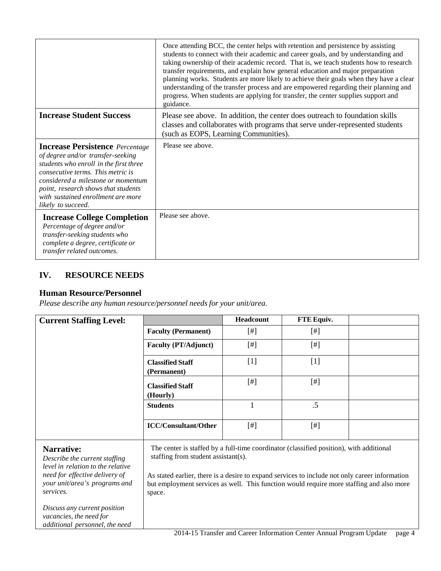|                                                                                                                                                                                                                                                                                                     | Once attending BCC, the center helps with retention and persistence by assisting<br>students to connect with their academic and career goals, and by understanding and<br>taking ownership of their academic record. That is, we teach students how to research<br>transfer requirements, and explain how general education and major preparation<br>planning works. Students are more likely to achieve their goals when they have a clear<br>understanding of the transfer process and are empowered regarding their planning and<br>progress. When students are applying for transfer, the center supplies support and<br>guidance. |
|-----------------------------------------------------------------------------------------------------------------------------------------------------------------------------------------------------------------------------------------------------------------------------------------------------|----------------------------------------------------------------------------------------------------------------------------------------------------------------------------------------------------------------------------------------------------------------------------------------------------------------------------------------------------------------------------------------------------------------------------------------------------------------------------------------------------------------------------------------------------------------------------------------------------------------------------------------|
| <b>Increase Student Success</b>                                                                                                                                                                                                                                                                     | Please see above. In addition, the center does outreach to foundation skills<br>classes and collaborates with programs that serve under-represented students<br>(such as EOPS, Learning Communities).                                                                                                                                                                                                                                                                                                                                                                                                                                  |
| <b>Increase Persistence</b> Percentage<br>of degree and/or transfer-seeking<br>students who enroll in the first three<br>consecutive terms. This metric is<br>considered a milestone or momentum<br>point, research shows that students<br>with sustained enrollment are more<br>likely to succeed. | Please see above.                                                                                                                                                                                                                                                                                                                                                                                                                                                                                                                                                                                                                      |
| <b>Increase College Completion</b><br>Percentage of degree and/or<br>transfer-seeking students who<br>complete a degree, certificate or<br>transfer related outcomes.                                                                                                                               | Please see above.                                                                                                                                                                                                                                                                                                                                                                                                                                                                                                                                                                                                                      |

# **IV. RESOURCE NEEDS**

## **Human Resource/Personnel**

*Please describe any human resource/personnel needs for your unit/area.*

| <b>Current Staffing Level:</b>                                                                                                                                          |                                                                                                                                                                                                                                                                                                                                        | Headcount    | FTE Equiv. |  |
|-------------------------------------------------------------------------------------------------------------------------------------------------------------------------|----------------------------------------------------------------------------------------------------------------------------------------------------------------------------------------------------------------------------------------------------------------------------------------------------------------------------------------|--------------|------------|--|
|                                                                                                                                                                         | <b>Faculty (Permanent)</b>                                                                                                                                                                                                                                                                                                             | $[$          | $[$        |  |
|                                                                                                                                                                         | <b>Faculty (PT/Adjunct)</b>                                                                                                                                                                                                                                                                                                            |              | $[$        |  |
|                                                                                                                                                                         | <b>Classified Staff</b><br>(Permanent)                                                                                                                                                                                                                                                                                                 | $[1]$        | $[1]$      |  |
|                                                                                                                                                                         | <b>Classified Staff</b><br>(Hourly)                                                                                                                                                                                                                                                                                                    | [#]          | $[$        |  |
|                                                                                                                                                                         | <b>Students</b>                                                                                                                                                                                                                                                                                                                        | $\mathbf{1}$ | .5         |  |
|                                                                                                                                                                         | <b>ICC/Consultant/Other</b>                                                                                                                                                                                                                                                                                                            | $[$          | $[$ #]     |  |
| <b>Narrative:</b><br>Describe the current staffing<br>level in relation to the relative<br>need for effective delivery of<br>your unit/area's programs and<br>services. | The center is staffed by a full-time coordinator (classified position), with additional<br>staffing from student assistant(s).<br>As stated earlier, there is a desire to expand services to include not only career information<br>but employment services as well. This function would require more staffing and also more<br>space. |              |            |  |
| Discuss any current position<br>vacancies, the need for<br>additional personnel, the need                                                                               |                                                                                                                                                                                                                                                                                                                                        |              |            |  |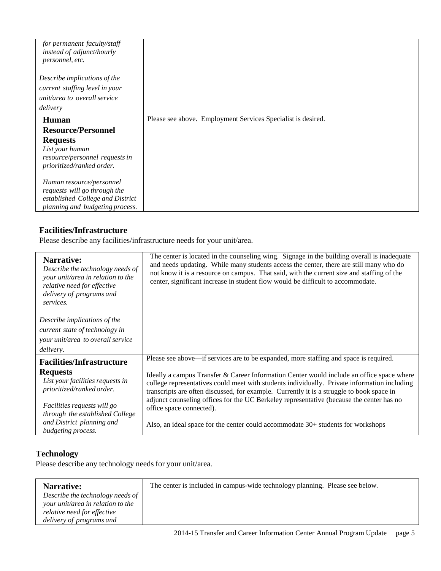| for permanent faculty/staff<br>instead of adjunct/hourly<br>personnel, etc.                                |                                                              |
|------------------------------------------------------------------------------------------------------------|--------------------------------------------------------------|
| Describe implications of the<br>current staffing level in your<br>unit/area to overall service<br>delivery |                                                              |
| Human                                                                                                      | Please see above. Employment Services Specialist is desired. |
| <b>Resource/Personnel</b>                                                                                  |                                                              |
| <b>Requests</b>                                                                                            |                                                              |
| List your human                                                                                            |                                                              |
| resource/personnel requests in                                                                             |                                                              |
| prioritized/ranked order.                                                                                  |                                                              |
| Human resource/personnel                                                                                   |                                                              |
| requests will go through the                                                                               |                                                              |
| established College and District                                                                           |                                                              |
| planning and budgeting process.                                                                            |                                                              |

# **Facilities/Infrastructure**

Please describe any facilities/infrastructure needs for your unit/area.

| Narrative:<br>Describe the technology needs of<br>your unit/area in relation to the<br>relative need for effective<br>delivery of programs and<br>services. | The center is located in the counseling wing. Signage in the building overall is inadequate<br>and needs updating. While many students access the center, there are still many who do<br>not know it is a resource on campus. That said, with the current size and staffing of the<br>center, significant increase in student flow would be difficult to accommodate.              |
|-------------------------------------------------------------------------------------------------------------------------------------------------------------|------------------------------------------------------------------------------------------------------------------------------------------------------------------------------------------------------------------------------------------------------------------------------------------------------------------------------------------------------------------------------------|
| Describe implications of the<br>current state of technology in<br>your unit/area to overall service<br>delivery.                                            |                                                                                                                                                                                                                                                                                                                                                                                    |
| <b>Facilities/Infrastructure</b>                                                                                                                            | Please see above—if services are to be expanded, more staffing and space is required.                                                                                                                                                                                                                                                                                              |
| <b>Requests</b><br>List your facilities requests in<br>prioritized/ranked order.                                                                            | Ideally a campus Transfer & Career Information Center would include an office space where<br>college representatives could meet with students individually. Private information including<br>transcripts are often discussed, for example. Currently it is a struggle to book space in<br>adjunct counseling offices for the UC Berkeley representative (because the center has no |
| Facilities requests will go<br>through the established College<br>and District planning and<br>budgeting process.                                           | office space connected).<br>Also, an ideal space for the center could accommodate 30+ students for workshops                                                                                                                                                                                                                                                                       |

# **Technology**

Please describe any technology needs for your unit/area.

| Narrative:                        | The center is included in campus-wide technology planning. Please see below. |
|-----------------------------------|------------------------------------------------------------------------------|
| Describe the technology needs of  |                                                                              |
| your unit/area in relation to the |                                                                              |
| relative need for effective       |                                                                              |
| delivery of programs and          |                                                                              |
|                                   |                                                                              |